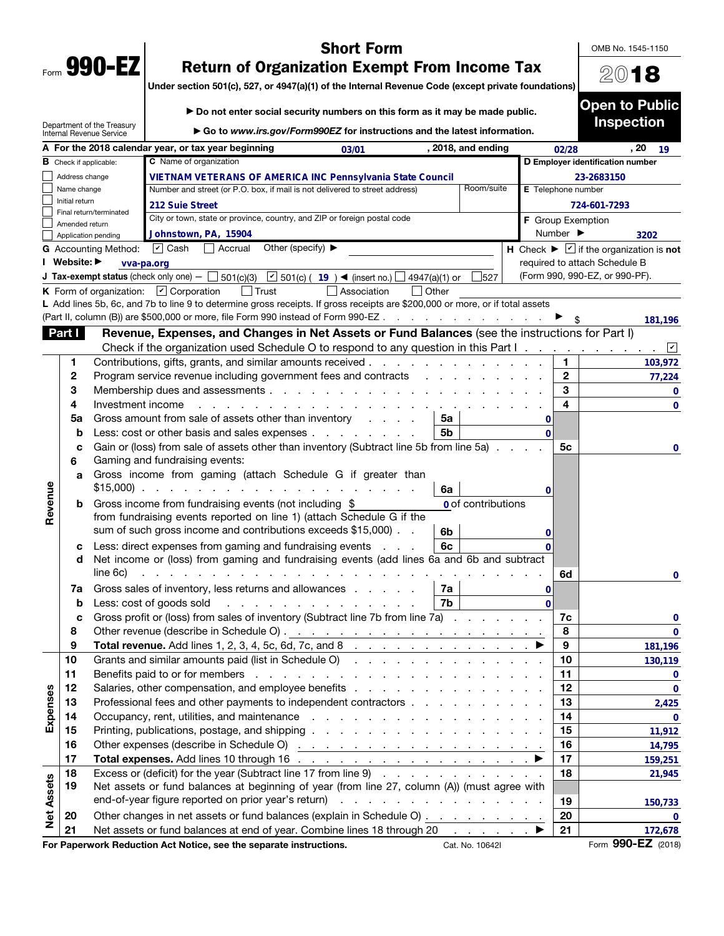| Form | 990- |  |
|------|------|--|

# Short Form

OMB No. 1545-1150

2018

Open to Public

# Return of Organization Exempt From Income Tax

Under section 501(c), 527, or 4947(a)(1) of the Internal Revenue Code (except private foundations)

|                   |                                      | Department of the Treasury<br>Internal Revenue Service | Go to www.irs.gov/Form990EZ for instructions and the latest information.                                                                                                       |                                                 |          |                                                                  | <b>Inspection</b>  |
|-------------------|--------------------------------------|--------------------------------------------------------|--------------------------------------------------------------------------------------------------------------------------------------------------------------------------------|-------------------------------------------------|----------|------------------------------------------------------------------|--------------------|
|                   |                                      |                                                        | A For the 2018 calendar year, or tax year beginning<br>03/01                                                                                                                   | , 2018, and ending                              |          | 02/28                                                            | , 20<br>19         |
|                   | $\, {\bf B} \,$ Check if applicable: |                                                        | C Name of organization                                                                                                                                                         |                                                 |          | D Employer identification number                                 |                    |
|                   | Address change                       |                                                        | <b>VIETNAM VETERANS OF AMERICA INC Pennsylvania State Council</b>                                                                                                              |                                                 |          | 23-2683150                                                       |                    |
|                   | Name change                          |                                                        | Number and street (or P.O. box, if mail is not delivered to street address)                                                                                                    | Room/suite                                      |          | E Telephone number                                               |                    |
|                   | Initial return                       |                                                        | 212 Suie Street                                                                                                                                                                |                                                 |          | 724-601-7293                                                     |                    |
|                   | Amended return                       | Final return/terminated                                | City or town, state or province, country, and ZIP or foreign postal code                                                                                                       |                                                 |          | F Group Exemption                                                |                    |
|                   | Application pending                  |                                                        | Johnstown, PA, 15904                                                                                                                                                           |                                                 | Number ▶ |                                                                  | 3202               |
|                   |                                      | G Accounting Method:                                   | $\sqrt{2}$ Cash<br>Other (specify) $\blacktriangleright$<br>Accrual                                                                                                            |                                                 |          | H Check $\blacktriangleright \square$ if the organization is not |                    |
|                   | Website: ▶                           | vva-pa.org                                             |                                                                                                                                                                                |                                                 |          | required to attach Schedule B                                    |                    |
|                   |                                      |                                                        | J Tax-exempt status (check only one) $ \Box$ 501(c)(3) $\boxed{\phantom{a}}$ 501(c) ( $\phantom{a}$ 19 $\phantom{a}$ (insert no.) $\boxed{\phantom{a}}$                        | 527<br>4947(a)(1) or                            |          | (Form 990, 990-EZ, or 990-PF).                                   |                    |
|                   |                                      |                                                        | $\vert$ Trust<br><b>K</b> Form of organization: $\boxed{\mathbf{v}}$ Corporation<br>Association                                                                                | $\Box$ Other                                    |          |                                                                  |                    |
|                   |                                      |                                                        | L Add lines 5b, 6c, and 7b to line 9 to determine gross receipts. If gross receipts are \$200,000 or more, or if total assets                                                  |                                                 |          |                                                                  |                    |
|                   |                                      |                                                        | (Part II, column (B)) are \$500,000 or more, file Form 990 instead of Form 990-EZ                                                                                              |                                                 |          |                                                                  | 181,196            |
|                   | Part I                               |                                                        | Revenue, Expenses, and Changes in Net Assets or Fund Balances (see the instructions for Part I)                                                                                |                                                 |          |                                                                  |                    |
|                   |                                      |                                                        | Check if the organization used Schedule O to respond to any question in this Part $1 \ldots \ldots$                                                                            |                                                 |          |                                                                  | ⊻<br>$\sim 100$    |
|                   | 1                                    |                                                        | Contributions, gifts, grants, and similar amounts received                                                                                                                     |                                                 |          | 1.                                                               | 103,972            |
|                   | 2                                    |                                                        | Program service revenue including government fees and contracts                                                                                                                |                                                 |          | $\mathbf{2}$                                                     | 77,224             |
|                   | 3                                    |                                                        |                                                                                                                                                                                |                                                 |          | 3                                                                | 0                  |
|                   | 4                                    | Investment income                                      |                                                                                                                                                                                |                                                 |          | 4                                                                | $\mathbf{0}$       |
|                   | 5a                                   |                                                        | Gross amount from sale of assets other than inventory                                                                                                                          | 5a                                              | 0        |                                                                  |                    |
|                   | b                                    |                                                        | Less: cost or other basis and sales expenses                                                                                                                                   | 5 <sub>b</sub>                                  | $\Omega$ |                                                                  |                    |
|                   | с                                    |                                                        | Gain or (loss) from sale of assets other than inventory (Subtract line 5b from line 5a).                                                                                       |                                                 |          | 5 <sub>c</sub>                                                   | 0                  |
|                   | 6                                    |                                                        | Gaming and fundraising events:                                                                                                                                                 |                                                 |          |                                                                  |                    |
|                   | a                                    |                                                        | Gross income from gaming (attach Schedule G if greater than<br>and the state of the state of the state of the state of the state of the state of the state of the state of the |                                                 |          |                                                                  |                    |
| Revenue           |                                      | $$15,000$ ).                                           |                                                                                                                                                                                | 6a                                              | 0        |                                                                  |                    |
|                   | b                                    |                                                        | Gross income from fundraising events (not including \$                                                                                                                         | 0 of contributions                              |          |                                                                  |                    |
|                   |                                      |                                                        | from fundraising events reported on line 1) (attach Schedule G if the<br>sum of such gross income and contributions exceeds \$15,000).                                         |                                                 |          |                                                                  |                    |
|                   |                                      |                                                        |                                                                                                                                                                                | 6b<br>6c                                        | 0        |                                                                  |                    |
|                   | с<br>d                               |                                                        | Less: direct expenses from gaming and fundraising events<br><b>Carl Corp.</b><br>Net income or (loss) from gaming and fundraising events (add lines 6a and 6b and subtract     |                                                 |          |                                                                  |                    |
|                   |                                      | line 6c)                                               | the contract of the contract of the                                                                                                                                            |                                                 |          | 6d                                                               |                    |
|                   | 7а                                   |                                                        | Gross sales of inventory, less returns and allowances                                                                                                                          | 7a                                              | 0        |                                                                  | $\bf{0}$           |
|                   | b                                    |                                                        | .<br>Less: cost of goods sold                                                                                                                                                  | 7b                                              | $\Omega$ |                                                                  |                    |
|                   | c                                    |                                                        | Gross profit or (loss) from sales of inventory (Subtract line 7b from line 7a)                                                                                                 |                                                 |          | 7c                                                               | 0                  |
|                   | 8                                    |                                                        |                                                                                                                                                                                |                                                 |          | 8                                                                | 0                  |
|                   | 9                                    |                                                        | <b>Total revenue.</b> Add lines 1, 2, 3, 4, 5c, 6d, 7c, and 8 $\ldots$ $\ldots$ $\ldots$                                                                                       |                                                 |          | 9                                                                | 181,196            |
|                   | 10                                   |                                                        | Grants and similar amounts paid (list in Schedule O)                                                                                                                           |                                                 |          | 10                                                               | 130,119            |
|                   | 11                                   |                                                        |                                                                                                                                                                                |                                                 |          | 11                                                               | 0                  |
|                   | 12                                   |                                                        |                                                                                                                                                                                |                                                 |          | 12                                                               | $\mathbf 0$        |
| Expenses          | 13                                   |                                                        | Professional fees and other payments to independent contractors                                                                                                                |                                                 |          | 13                                                               | 2,425              |
|                   | 14                                   |                                                        |                                                                                                                                                                                |                                                 |          | 14                                                               | 0                  |
|                   | 15                                   |                                                        |                                                                                                                                                                                |                                                 |          | 15                                                               | 11,912             |
|                   | 16                                   |                                                        |                                                                                                                                                                                |                                                 |          | 16                                                               | 14,795             |
|                   | 17                                   |                                                        |                                                                                                                                                                                |                                                 |          | 17                                                               | 159,251            |
|                   | 18                                   |                                                        | Excess or (deficit) for the year (Subtract line 17 from line 9)                                                                                                                |                                                 |          | 18                                                               | 21,945             |
|                   | 19                                   |                                                        | Net assets or fund balances at beginning of year (from line 27, column (A)) (must agree with                                                                                   |                                                 |          |                                                                  |                    |
|                   |                                      |                                                        | end-of-year figure reported on prior year's return)                                                                                                                            | and a series of the contract of the contract of |          | 19                                                               | 150,733            |
| <b>Net Assets</b> | 20                                   |                                                        | Other changes in net assets or fund balances (explain in Schedule O)                                                                                                           |                                                 |          | 20                                                               | 0                  |
|                   | 21                                   |                                                        | Net assets or fund balances at end of year. Combine lines 18 through 20                                                                                                        | and the company                                 |          | 21                                                               | 172,678            |
|                   |                                      |                                                        | For Paperwork Reduction Act Notice, see the separate instructions.                                                                                                             | Cat. No. 10642I                                 |          |                                                                  | Form 990-EZ (2018) |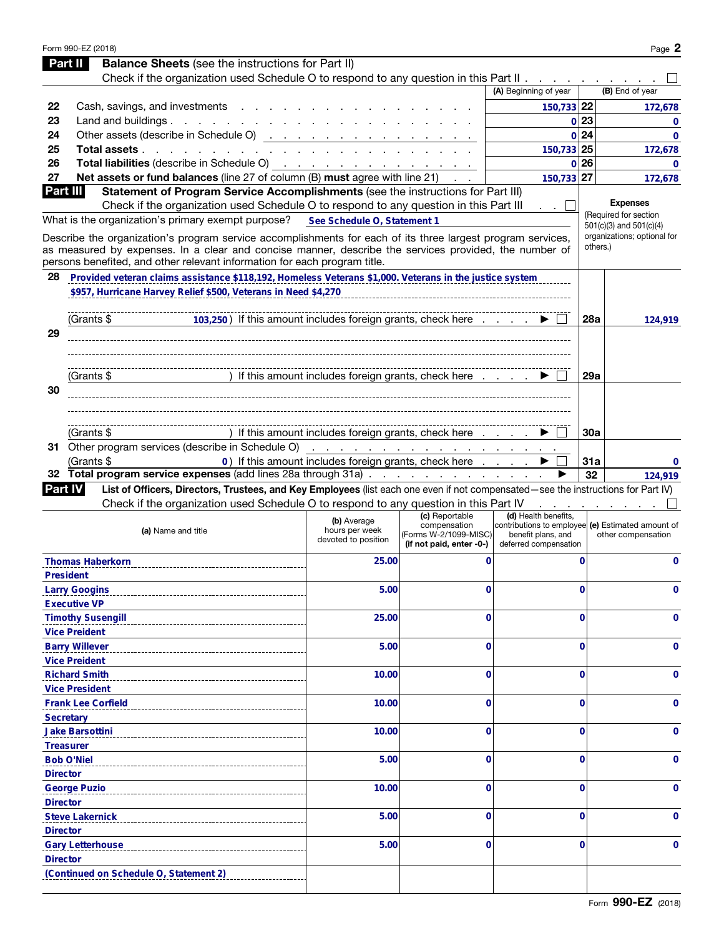| Part II          | Form 990-EZ (2018)<br><b>Balance Sheets</b> (see the instructions for Part II)                                                                                                     |                                                                              |                                                                                     |                                                                                                                          |             | Page 2                                                     |
|------------------|------------------------------------------------------------------------------------------------------------------------------------------------------------------------------------|------------------------------------------------------------------------------|-------------------------------------------------------------------------------------|--------------------------------------------------------------------------------------------------------------------------|-------------|------------------------------------------------------------|
|                  | Check if the organization used Schedule O to respond to any question in this Part II $\ldots$ , $\ldots$                                                                           |                                                                              |                                                                                     |                                                                                                                          |             |                                                            |
|                  |                                                                                                                                                                                    |                                                                              |                                                                                     | (A) Beginning of year                                                                                                    |             | (B) End of year                                            |
| 22               | Cash, savings, and investments                                                                                                                                                     |                                                                              |                                                                                     | 150,733 22                                                                                                               |             | 172,678                                                    |
| 23               | Land and buildings. $\ldots$ $\ldots$ $\ldots$ $\ldots$ $\ldots$ $\ldots$                                                                                                          |                                                                              |                                                                                     |                                                                                                                          | 0 23        | $\Omega$                                                   |
| 24               | Other assets (describe in Schedule O) <u>.</u>                                                                                                                                     |                                                                              |                                                                                     |                                                                                                                          | 0 24        | $\mathbf{0}$                                               |
| 25               | Total assets                                                                                                                                                                       |                                                                              |                                                                                     | 150,733 25                                                                                                               |             | 172,678                                                    |
| 26               | <b>Total liabilities</b> (describe in Schedule O) $\cdots$ $\cdots$ $\cdots$ $\cdots$ $\cdots$ $\cdots$                                                                            |                                                                              |                                                                                     |                                                                                                                          | 0 26        | $\Omega$                                                   |
| 27               | Net assets or fund balances (line 27 of column (B) must agree with line 21)                                                                                                        |                                                                              |                                                                                     | 150,733 27                                                                                                               |             | 172,678                                                    |
| Part III         | Statement of Program Service Accomplishments (see the instructions for Part III)                                                                                                   |                                                                              |                                                                                     |                                                                                                                          |             |                                                            |
|                  | Check if the organization used Schedule O to respond to any question in this Part III                                                                                              |                                                                              |                                                                                     |                                                                                                                          |             | <b>Expenses</b>                                            |
|                  | What is the organization's primary exempt purpose?                                                                                                                                 | See Schedule O, Statement 1                                                  |                                                                                     |                                                                                                                          |             | (Required for section                                      |
|                  | Describe the organization's program service accomplishments for each of its three largest program services,                                                                        |                                                                              |                                                                                     |                                                                                                                          |             | $501(c)(3)$ and $501(c)(4)$<br>organizations; optional for |
|                  | as measured by expenses. In a clear and concise manner, describe the services provided, the number of<br>persons benefited, and other relevant information for each program title. |                                                                              |                                                                                     |                                                                                                                          |             | others.)                                                   |
| 28               | Provided veteran claims assistance \$118,192, Homeless Veterans \$1,000. Veterans in the justice system                                                                            |                                                                              |                                                                                     |                                                                                                                          |             |                                                            |
|                  | \$957, Hurricane Harvey Relief \$500, Veterans in Need \$4,270                                                                                                                     |                                                                              |                                                                                     |                                                                                                                          |             |                                                            |
|                  |                                                                                                                                                                                    |                                                                              |                                                                                     |                                                                                                                          |             |                                                            |
|                  | (Grants \$<br>103,250) If this amount includes foreign grants, check here                                                                                                          |                                                                              |                                                                                     |                                                                                                                          | 28a         | 124,919                                                    |
| 29               |                                                                                                                                                                                    |                                                                              |                                                                                     |                                                                                                                          |             |                                                            |
|                  |                                                                                                                                                                                    |                                                                              |                                                                                     |                                                                                                                          |             |                                                            |
|                  |                                                                                                                                                                                    |                                                                              |                                                                                     |                                                                                                                          |             |                                                            |
|                  | (Grants \$                                                                                                                                                                         | ) If this amount includes foreign grants, check here $\ldots$ $\blacksquare$ |                                                                                     |                                                                                                                          | 29a         |                                                            |
| 30               |                                                                                                                                                                                    |                                                                              |                                                                                     |                                                                                                                          |             |                                                            |
|                  |                                                                                                                                                                                    |                                                                              |                                                                                     |                                                                                                                          |             |                                                            |
|                  |                                                                                                                                                                                    |                                                                              |                                                                                     |                                                                                                                          |             |                                                            |
|                  | (Grants \$                                                                                                                                                                         | ) If this amount includes foreign grants, check here                         |                                                                                     |                                                                                                                          | <b>30a</b>  |                                                            |
|                  |                                                                                                                                                                                    |                                                                              |                                                                                     |                                                                                                                          |             |                                                            |
|                  | (Grants \$                                                                                                                                                                         | 0) If this amount includes foreign grants, check here                        |                                                                                     |                                                                                                                          | 31a         | 0                                                          |
|                  | 32 Total program service expenses (add lines 28a through 31a)                                                                                                                      |                                                                              |                                                                                     |                                                                                                                          | 32          | 124,919                                                    |
| <b>Part IV</b>   | List of Officers, Directors, Trustees, and Key Employees (list each one even if not compensated-see the instructions for Part IV)                                                  |                                                                              |                                                                                     |                                                                                                                          |             |                                                            |
|                  | Check if the organization used Schedule O to respond to any question in this Part IV                                                                                               |                                                                              |                                                                                     |                                                                                                                          |             |                                                            |
|                  | (a) Name and title                                                                                                                                                                 | (b) Average<br>hours per week<br>devoted to position                         | (c) Reportable<br>compensation<br>(Forms W-2/1099-MISC)<br>(if not paid, enter -0-) | (d) Health benefits,<br>contributions to employee (e) Estimated amount of<br>benefit plans, and<br>deferred compensation |             | other compensation                                         |
|                  | <b>Thomas Haberkorn</b>                                                                                                                                                            | 25.00                                                                        | 0                                                                                   |                                                                                                                          | $\mathbf 0$ | $\mathbf 0$                                                |
| <b>President</b> |                                                                                                                                                                                    |                                                                              |                                                                                     |                                                                                                                          |             |                                                            |
|                  | <b>Larry Googins</b>                                                                                                                                                               | 5.00                                                                         | 0                                                                                   |                                                                                                                          | 0           | 0                                                          |
|                  | <b>Executive VP</b>                                                                                                                                                                |                                                                              |                                                                                     |                                                                                                                          |             |                                                            |
|                  | <b>Timothy Susengill</b>                                                                                                                                                           | 25.00                                                                        | 0                                                                                   |                                                                                                                          | $\Omega$    | $\Omega$                                                   |
|                  | <b>Vice Preident</b>                                                                                                                                                               |                                                                              |                                                                                     |                                                                                                                          |             |                                                            |
|                  | <b>Barry Willever</b>                                                                                                                                                              | 5.00                                                                         | $\mathbf 0$                                                                         |                                                                                                                          | 0           | $\Omega$                                                   |
|                  | <b>Vice Preident</b>                                                                                                                                                               |                                                                              |                                                                                     |                                                                                                                          |             |                                                            |
|                  | <b>Richard Smith</b>                                                                                                                                                               | 10.00                                                                        | 0                                                                                   |                                                                                                                          | 0           | 0                                                          |
|                  | <b>Vice President</b>                                                                                                                                                              |                                                                              |                                                                                     |                                                                                                                          |             |                                                            |
|                  | <b>Frank Lee Corfield</b>                                                                                                                                                          | 10.00                                                                        | 0                                                                                   |                                                                                                                          | 0           | 0                                                          |
| <b>Secretary</b> |                                                                                                                                                                                    |                                                                              |                                                                                     |                                                                                                                          |             |                                                            |
|                  | <b>Jake Barsottini</b>                                                                                                                                                             | 10.00                                                                        | 0                                                                                   |                                                                                                                          | 0           | 0                                                          |
|                  | <b>Treasurer</b>                                                                                                                                                                   |                                                                              |                                                                                     |                                                                                                                          |             |                                                            |
|                  | <b>Bob O'Niel</b>                                                                                                                                                                  | 5.00                                                                         | 0                                                                                   |                                                                                                                          | 0           | 0                                                          |
| <b>Director</b>  |                                                                                                                                                                                    |                                                                              |                                                                                     |                                                                                                                          |             |                                                            |
|                  | <b>George Puzio</b>                                                                                                                                                                | 10.00                                                                        | 0                                                                                   |                                                                                                                          | 0           | 0                                                          |
| <b>Director</b>  |                                                                                                                                                                                    |                                                                              |                                                                                     |                                                                                                                          |             |                                                            |
|                  | <b>Steve Lakernick</b>                                                                                                                                                             | 5.00                                                                         | 0                                                                                   |                                                                                                                          | 0           | 0                                                          |
| <b>Director</b>  |                                                                                                                                                                                    |                                                                              |                                                                                     |                                                                                                                          |             |                                                            |
|                  |                                                                                                                                                                                    |                                                                              | 0                                                                                   |                                                                                                                          | $\Omega$    | 0                                                          |
|                  | <b>Gary Letterhouse</b>                                                                                                                                                            | 5.00                                                                         |                                                                                     |                                                                                                                          |             |                                                            |
| <b>Director</b>  |                                                                                                                                                                                    |                                                                              |                                                                                     |                                                                                                                          |             |                                                            |
|                  | (Continued on Schedule O, Statement 2)                                                                                                                                             |                                                                              |                                                                                     |                                                                                                                          |             |                                                            |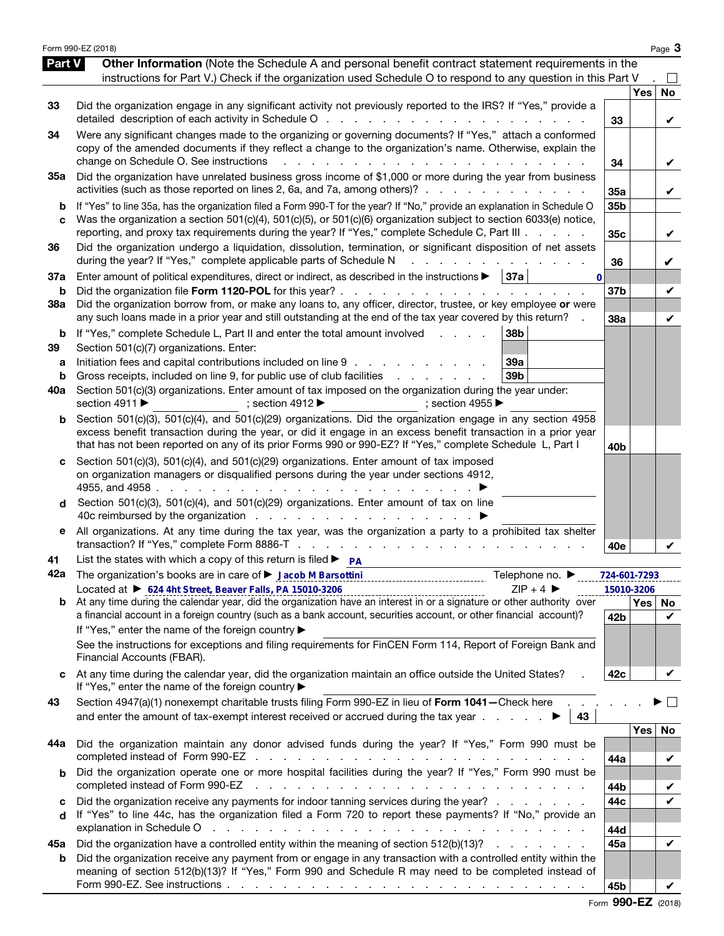|                          | Form 990-EZ (2018)                                                                                                                                                                                                                                                                                                                                                                                                                                               |                 |            | Page 3         |
|--------------------------|------------------------------------------------------------------------------------------------------------------------------------------------------------------------------------------------------------------------------------------------------------------------------------------------------------------------------------------------------------------------------------------------------------------------------------------------------------------|-----------------|------------|----------------|
| Part V                   | Other Information (Note the Schedule A and personal benefit contract statement requirements in the<br>instructions for Part V.) Check if the organization used Schedule O to respond to any question in this Part V                                                                                                                                                                                                                                              |                 |            |                |
| 33                       | Did the organization engage in any significant activity not previously reported to the IRS? If "Yes," provide a<br>detailed description of each activity in Schedule O                                                                                                                                                                                                                                                                                           | 33              | <b>Yes</b> | <b>No</b><br>V |
| 34                       | Were any significant changes made to the organizing or governing documents? If "Yes," attach a conformed<br>copy of the amended documents if they reflect a change to the organization's name. Otherwise, explain the<br>change on Schedule O. See instructions                                                                                                                                                                                                  | 34              |            | V              |
| 35a                      | Did the organization have unrelated business gross income of \$1,000 or more during the year from business<br>activities (such as those reported on lines 2, 6a, and 7a, among others)?                                                                                                                                                                                                                                                                          | 35a             |            | V              |
| b<br>c                   | If "Yes" to line 35a, has the organization filed a Form 990-T for the year? If "No," provide an explanation in Schedule O<br>Was the organization a section 501(c)(4), 501(c)(5), or 501(c)(6) organization subject to section 6033(e) notice,<br>reporting, and proxy tax requirements during the year? If "Yes," complete Schedule C, Part III                                                                                                                 | 35b<br>35c      |            | V              |
| 36                       | Did the organization undergo a liquidation, dissolution, termination, or significant disposition of net assets<br>during the year? If "Yes," complete applicable parts of Schedule N                                                                                                                                                                                                                                                                             | 36              |            | V              |
| 37a<br>b                 | Enter amount of political expenditures, direct or indirect, as described in the instructions ><br>  37a<br>$\bf{0}$<br>Did the organization file Form 1120-POL for this year?.<br>the contract of the con-                                                                                                                                                                                                                                                       | 37b             |            | V              |
| <b>38a</b>               | Did the organization borrow from, or make any loans to, any officer, director, trustee, or key employee or were<br>any such loans made in a prior year and still outstanding at the end of the tax year covered by this return?                                                                                                                                                                                                                                  | 38a             |            | V              |
| b<br>39<br>а<br>b<br>40a | If "Yes," complete Schedule L, Part II and enter the total amount involved<br>38b<br>$1 - 1 - 1 = 1$<br>Section 501(c)(7) organizations. Enter:<br>Initiation fees and capital contributions included on line 9<br>39a<br>Gross receipts, included on line 9, for public use of club facilities<br>39 <sub>b</sub><br>the contract of the contract of<br>Section 501(c)(3) organizations. Enter amount of tax imposed on the organization during the year under: |                 |            |                |
| b                        | section 4911 ▶<br>; section 4912 $\blacktriangleright$<br>; section 4955<br>Section 501(c)(3), 501(c)(4), and 501(c)(29) organizations. Did the organization engage in any section 4958<br>excess benefit transaction during the year, or did it engage in an excess benefit transaction in a prior year<br>that has not been reported on any of its prior Forms 990 or 990-EZ? If "Yes," complete Schedule L, Part I                                            | 40 <sub>b</sub> |            |                |
| d                        | Section 501(c)(3), 501(c)(4), and 501(c)(29) organizations. Enter amount of tax imposed<br>on organization managers or disqualified persons during the year under sections 4912,<br>4955, and 4958.<br>Section 501(c)(3), 501(c)(4), and 501(c)(29) organizations. Enter amount of tax on line                                                                                                                                                                   |                 |            |                |
| е                        | All organizations. At any time during the tax year, was the organization a party to a prohibited tax shelter                                                                                                                                                                                                                                                                                                                                                     | 40e             |            |                |
| 41<br>42a                | List the states with which a copy of this return is filed $\triangleright$ $\mathsf{p}_\mathsf{A}$<br>Telephone no. ▶                                                                                                                                                                                                                                                                                                                                            | 724-601-7293    |            |                |
|                          | Located at ▶ 624 4ht Street, Beaver Falls, PA 15010-3206<br>$ZIP + 4$                                                                                                                                                                                                                                                                                                                                                                                            |                 | 15010-3206 |                |
|                          | Located at $\blacktriangleright$ 0.44 4nt Street, Beaver Falls, PA 15010-3206<br>b At any time during the calendar year, did the organization have an interest in or a signature or other authority over<br>a financial account in a foreign country (such as a bank account, securities account, or other financial account)?<br>If "Yes," enter the name of the foreign country ▶                                                                              | 42b             | Yes   No   | V              |
|                          | See the instructions for exceptions and filing requirements for FinCEN Form 114, Report of Foreign Bank and<br>Financial Accounts (FBAR).                                                                                                                                                                                                                                                                                                                        |                 |            |                |
|                          | At any time during the calendar year, did the organization maintain an office outside the United States?<br>If "Yes," enter the name of the foreign country ▶                                                                                                                                                                                                                                                                                                    | 42c             |            | V              |
| 43                       | Section 4947(a)(1) nonexempt charitable trusts filing Form 990-EZ in lieu of Form 1041-Check here<br>and enter the amount of tax-exempt interest received or accrued during the tax year $\ldots$<br>43                                                                                                                                                                                                                                                          |                 |            | $\mathbb{R}^2$ |
| 44a                      | Did the organization maintain any donor advised funds during the year? If "Yes," Form 990 must be                                                                                                                                                                                                                                                                                                                                                                | 44a             | Yes        | No<br>V        |
| b                        | Did the organization operate one or more hospital facilities during the year? If "Yes," Form 990 must be<br>completed instead of Form 990-EZ<br>and the contract of the contract of the contract of the contract of the contract of                                                                                                                                                                                                                              | 44b             |            | V              |
| c<br>d                   | Did the organization receive any payments for indoor tanning services during the year?<br>If "Yes" to line 44c, has the organization filed a Form 720 to report these payments? If "No," provide an                                                                                                                                                                                                                                                              | 44c             |            | $\checkmark$   |
|                          | explanation in Schedule O<br>and the contract of the contract of the contract of the contract of the contract of                                                                                                                                                                                                                                                                                                                                                 | 44d             |            |                |
| 45а<br>b                 | Did the organization have a controlled entity within the meaning of section 512(b)(13)?<br>Did the organization receive any payment from or engage in any transaction with a controlled entity within the<br>meaning of section 512(b)(13)? If "Yes," Form 990 and Schedule R may need to be completed instead of                                                                                                                                                | 45a<br>45b      |            | V              |
|                          |                                                                                                                                                                                                                                                                                                                                                                                                                                                                  |                 |            |                |

Form 990-EZ (2018)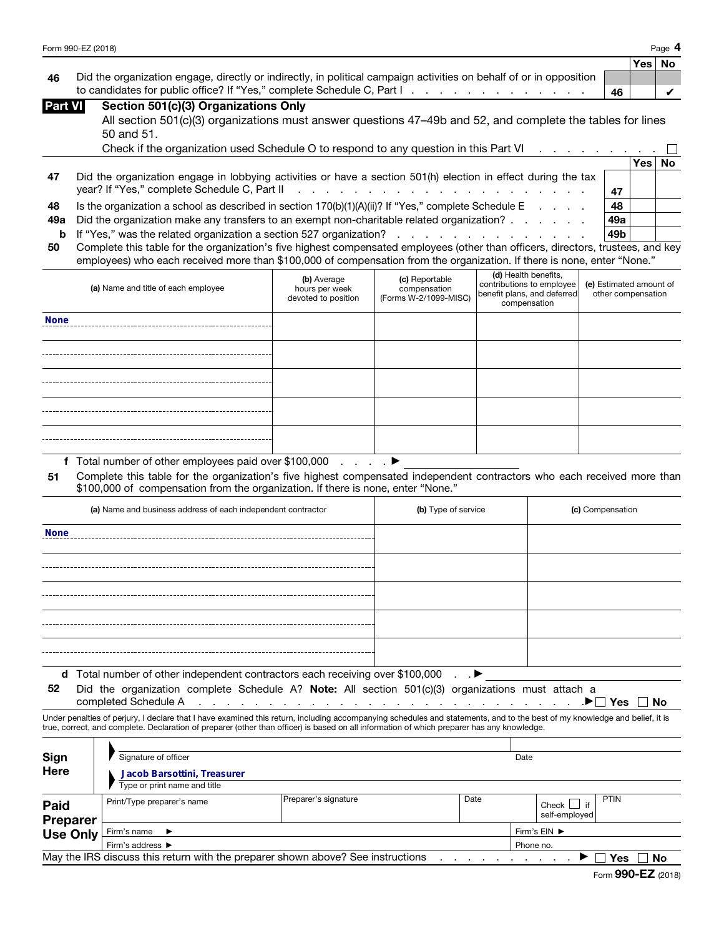| Form 990-EZ (2018) | Page |
|--------------------|------|
|                    |      |

|    |                                                                                                                     |    | ∣Yes ∣No |  |
|----|---------------------------------------------------------------------------------------------------------------------|----|----------|--|
| 46 | Did the organization engage, directly or indirectly, in political campaign activities on behalf of or in opposition |    |          |  |
|    | to candidates for public office? If "Yes," complete Schedule C, Part I. A. A. A. A. A. A. A. A. A. A.               | 46 |          |  |

| Part VII |  | Section 501(c)(3) Organizations Only |  |
|----------|--|--------------------------------------|--|
|          |  |                                      |  |

| All section 501(c)(3) organizations must answer questions 47-49b and 52, and complete the tables for lines |  |
|------------------------------------------------------------------------------------------------------------|--|
| 50 and 51.                                                                                                 |  |

|    | Check if the organization used Schedule O to respond to any question in this Part VI                          |     |      |    |
|----|---------------------------------------------------------------------------------------------------------------|-----|------|----|
|    |                                                                                                               |     | Yes⊺ | No |
| 47 | Did the organization engage in lobbying activities or have a section 501(h) election in effect during the tax |     |      |    |
|    |                                                                                                               | 47  |      |    |
| 48 | Is the organization a school as described in section $170(b)(1)(A)(ii)$ ? If "Yes," complete Schedule E       | 48  |      |    |
|    | 49a Did the organization make any transfers to an exempt non-charitable related organization?                 | 49a |      |    |
|    |                                                                                                               | 49b |      |    |
|    |                                                                                                               |     |      |    |

| 50 Complete this table for the organization's five highest compensated employees (other than officers, directors, trustees, and key |
|-------------------------------------------------------------------------------------------------------------------------------------|
| employees) who each received more than \$100,000 of compensation from the organization. If there is none, enter "None."             |

|                | to candidates for public office? If "Yes," complete Schedule C, Part I                                                                                                                                                                                      |                                  |                                                                                                                                                                                                                               |                                             | 46                      |            | ✓         |
|----------------|-------------------------------------------------------------------------------------------------------------------------------------------------------------------------------------------------------------------------------------------------------------|----------------------------------|-------------------------------------------------------------------------------------------------------------------------------------------------------------------------------------------------------------------------------|---------------------------------------------|-------------------------|------------|-----------|
| <b>Part VI</b> | Section 501(c)(3) Organizations Only                                                                                                                                                                                                                        |                                  |                                                                                                                                                                                                                               |                                             |                         |            |           |
|                | All section 501(c)(3) organizations must answer questions 47–49b and 52, and complete the tables for lines                                                                                                                                                  |                                  |                                                                                                                                                                                                                               |                                             |                         |            |           |
|                | 50 and 51.                                                                                                                                                                                                                                                  |                                  |                                                                                                                                                                                                                               |                                             |                         |            |           |
|                | Check if the organization used Schedule O to respond to any question in this Part VI                                                                                                                                                                        |                                  |                                                                                                                                                                                                                               |                                             |                         |            |           |
|                |                                                                                                                                                                                                                                                             |                                  |                                                                                                                                                                                                                               |                                             |                         | <b>Yes</b> | <b>No</b> |
| 47             | Did the organization engage in lobbying activities or have a section 501(h) election in effect during the tax                                                                                                                                               |                                  |                                                                                                                                                                                                                               |                                             |                         |            |           |
|                | year? If "Yes," complete Schedule C, Part II                                                                                                                                                                                                                |                                  | a construction of the construction of the construction of the construction of the construction of the construction of the construction of the construction of the construction of the construction of the construction of the |                                             | 47                      |            |           |
| 48             | Is the organization a school as described in section 170(b)(1)(A)(ii)? If "Yes," complete Schedule E                                                                                                                                                        |                                  |                                                                                                                                                                                                                               | <b>Contract Contract Contract</b>           | 48                      |            |           |
| 49a            | Did the organization make any transfers to an exempt non-charitable related organization?                                                                                                                                                                   |                                  |                                                                                                                                                                                                                               |                                             | 49a                     |            |           |
| b              | If "Yes," was the related organization a section 527 organization?                                                                                                                                                                                          |                                  | and the contract of the contract of the                                                                                                                                                                                       |                                             | 49b                     |            |           |
| 50             | Complete this table for the organization's five highest compensated employees (other than officers, directors, trustees, and key<br>employees) who each received more than \$100,000 of compensation from the organization. If there is none, enter "None." |                                  |                                                                                                                                                                                                                               |                                             |                         |            |           |
|                |                                                                                                                                                                                                                                                             |                                  |                                                                                                                                                                                                                               | (d) Health benefits,                        |                         |            |           |
|                | (a) Name and title of each employee                                                                                                                                                                                                                         | (b) Average<br>hours per week    | (c) Reportable<br>compensation                                                                                                                                                                                                | contributions to employee                   | (e) Estimated amount of |            |           |
|                |                                                                                                                                                                                                                                                             | devoted to position              | (Forms W-2/1099-MISC)                                                                                                                                                                                                         | benefit plans, and deferred<br>compensation | other compensation      |            |           |
| <b>None</b>    |                                                                                                                                                                                                                                                             |                                  |                                                                                                                                                                                                                               |                                             |                         |            |           |
|                |                                                                                                                                                                                                                                                             |                                  |                                                                                                                                                                                                                               |                                             |                         |            |           |
|                |                                                                                                                                                                                                                                                             |                                  |                                                                                                                                                                                                                               |                                             |                         |            |           |
|                |                                                                                                                                                                                                                                                             |                                  |                                                                                                                                                                                                                               |                                             |                         |            |           |
|                |                                                                                                                                                                                                                                                             |                                  |                                                                                                                                                                                                                               |                                             |                         |            |           |
|                |                                                                                                                                                                                                                                                             |                                  |                                                                                                                                                                                                                               |                                             |                         |            |           |
|                |                                                                                                                                                                                                                                                             |                                  |                                                                                                                                                                                                                               |                                             |                         |            |           |
|                |                                                                                                                                                                                                                                                             |                                  |                                                                                                                                                                                                                               |                                             |                         |            |           |
|                |                                                                                                                                                                                                                                                             |                                  |                                                                                                                                                                                                                               |                                             |                         |            |           |
|                |                                                                                                                                                                                                                                                             |                                  |                                                                                                                                                                                                                               |                                             |                         |            |           |
|                | f Total number of other employees paid over \$100,000                                                                                                                                                                                                       | $\ldots$ . $\blacktriangleright$ |                                                                                                                                                                                                                               |                                             |                         |            |           |
| 51             | Complete this table for the organization's five highest compensated independent contractors who each received more than<br>\$100,000 of compensation from the organization. If there is none, enter "None."                                                 |                                  |                                                                                                                                                                                                                               |                                             |                         |            |           |
|                | (a) Name and business address of each independent contractor                                                                                                                                                                                                |                                  | (b) Type of service                                                                                                                                                                                                           |                                             | (c) Compensation        |            |           |
| None           |                                                                                                                                                                                                                                                             |                                  |                                                                                                                                                                                                                               |                                             |                         |            |           |

| (a) Name and business address of each independent contractor                  | (b) Type of service | (c) Compensation |
|-------------------------------------------------------------------------------|---------------------|------------------|
| <b>None</b>                                                                   |                     |                  |
|                                                                               |                     |                  |
|                                                                               |                     |                  |
|                                                                               |                     |                  |
|                                                                               |                     |                  |
|                                                                               | $\cdot$ $\cdot$     |                  |
| d Total number of other independent contractors each receiving over \$100,000 |                     |                  |

52 Did the organization complete Schedule A? Note: All section 501(c)(3) organizations must attach a

 $\Box$  Yes  $\Box$  No

Under penalties of perjury, I declare that I have examined this return, including accompanying schedules and statements, and to the best of my knowledge and belief, it is true, correct, and complete. Declaration of preparer (other than officer) is based on all information of which preparer has any knowledge.

| Sign<br>Here                                                                                 | Signature of officer<br>Jacob Barsottini, Treasurer |                      |              | Date |                                |             |
|----------------------------------------------------------------------------------------------|-----------------------------------------------------|----------------------|--------------|------|--------------------------------|-------------|
|                                                                                              | Type or print name and title                        |                      |              |      |                                |             |
| Paid<br>Preparer                                                                             | Print/Type preparer's name                          | Preparer's signature | Date         |      | if<br>Check L<br>self-employed | <b>PTIN</b> |
| <b>Use Only</b>                                                                              | Firm's name $\blacktriangleright$                   |                      | Firm's EIN ▶ |      |                                |             |
|                                                                                              | Firm's address $\blacktriangleright$                |                      | Phone no.    |      |                                |             |
| May the IRS discuss this return with the preparer shown above? See instructions<br>Yes<br>No |                                                     |                      |              |      |                                |             |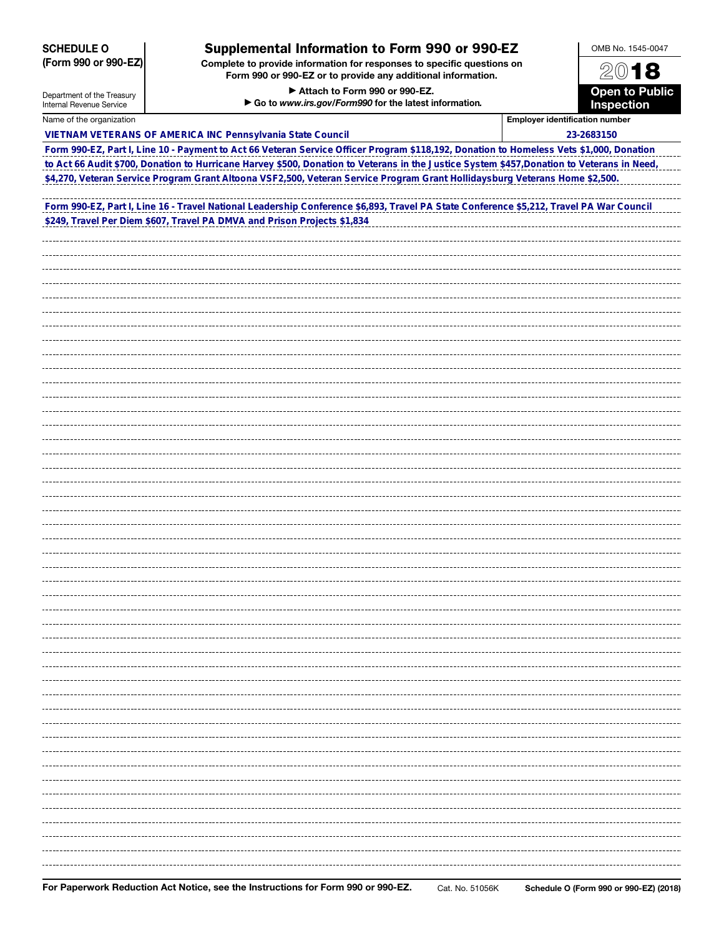| <b>SCHEDULE O</b>          | <b>Supplemental Information to Form 990 or 990-EZ</b>                                                                                                                   |                                       | OMB No. 1545-0047                   |  |
|----------------------------|-------------------------------------------------------------------------------------------------------------------------------------------------------------------------|---------------------------------------|-------------------------------------|--|
| (Form 990 or 990-EZ)       | Complete to provide information for responses to specific questions on<br>Form 990 or 990-EZ or to provide any additional information.<br>Attach to Form 990 or 990-EZ. |                                       |                                     |  |
| Department of the Treasury |                                                                                                                                                                         |                                       |                                     |  |
| Internal Revenue Service   | Go to www.irs.gov/Form990 for the latest information.                                                                                                                   |                                       | <b>Open to Public</b><br>Inspection |  |
| Name of the organization   |                                                                                                                                                                         | <b>Employer identification number</b> |                                     |  |
|                            | VIETNAM VETERANS OF AMERICA INC Pennsylvania State Council                                                                                                              |                                       | 23-2683150                          |  |
|                            | Form 990-EZ, Part I, Line 10 - Payment to Act 66 Veteran Service Officer Program \$118,192, Donation to Homeless Vets \$1,000, Donation                                 |                                       |                                     |  |
|                            | to Act 66 Audit \$700, Donation to Hurricane Harvey \$500, Donation to Veterans in the Justice System \$457, Donation to Veterans in Need,                              |                                       |                                     |  |
|                            | \$4,270, Veteran Service Program Grant Altoona VSF2,500, Veteran Service Program Grant Hollidaysburg Veterans Home \$2,500.                                             |                                       |                                     |  |
|                            |                                                                                                                                                                         |                                       |                                     |  |
|                            | Form 990-EZ, Part I, Line 16 - Travel National Leadership Conference \$6,893, Travel PA State Conference \$5,212, Travel PA War Council                                 |                                       |                                     |  |
|                            | \$249, Travel Per Diem \$607, Travel PA DMVA and Prison Projects \$1,834                                                                                                |                                       |                                     |  |
|                            |                                                                                                                                                                         |                                       |                                     |  |
|                            |                                                                                                                                                                         |                                       |                                     |  |
|                            |                                                                                                                                                                         |                                       |                                     |  |
|                            |                                                                                                                                                                         |                                       |                                     |  |
|                            |                                                                                                                                                                         |                                       |                                     |  |
|                            |                                                                                                                                                                         |                                       |                                     |  |
|                            |                                                                                                                                                                         |                                       |                                     |  |
|                            |                                                                                                                                                                         |                                       |                                     |  |
|                            |                                                                                                                                                                         |                                       |                                     |  |
|                            |                                                                                                                                                                         |                                       |                                     |  |
|                            |                                                                                                                                                                         |                                       |                                     |  |
|                            |                                                                                                                                                                         |                                       |                                     |  |
|                            |                                                                                                                                                                         |                                       |                                     |  |
|                            |                                                                                                                                                                         |                                       |                                     |  |
|                            |                                                                                                                                                                         |                                       |                                     |  |
|                            |                                                                                                                                                                         |                                       |                                     |  |
|                            |                                                                                                                                                                         |                                       |                                     |  |
|                            |                                                                                                                                                                         |                                       |                                     |  |
|                            |                                                                                                                                                                         |                                       |                                     |  |
|                            |                                                                                                                                                                         |                                       |                                     |  |
|                            |                                                                                                                                                                         |                                       |                                     |  |
|                            |                                                                                                                                                                         |                                       |                                     |  |
|                            |                                                                                                                                                                         |                                       |                                     |  |
|                            |                                                                                                                                                                         |                                       |                                     |  |
|                            |                                                                                                                                                                         |                                       |                                     |  |
|                            |                                                                                                                                                                         |                                       |                                     |  |
|                            |                                                                                                                                                                         |                                       |                                     |  |
|                            |                                                                                                                                                                         |                                       |                                     |  |
|                            |                                                                                                                                                                         |                                       |                                     |  |
|                            |                                                                                                                                                                         |                                       |                                     |  |
|                            |                                                                                                                                                                         |                                       |                                     |  |
|                            |                                                                                                                                                                         |                                       |                                     |  |

For Paperwork Reduction Act Notice, see the Instructions for Form 990 or 990-EZ. Cat. No. 51056K Schedule O (Form 990 or 990-EZ) (2018)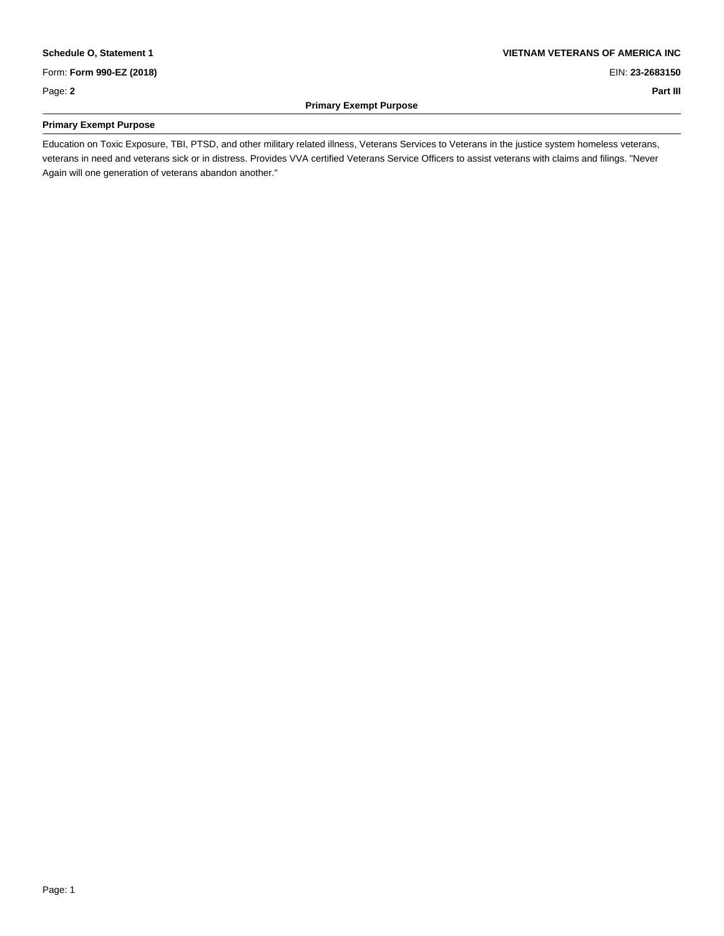Form: **Form 990-EZ (2018)** EIN: **23-2683150**

Page: **2 Part III**

\_

## **Primary Exempt Purpose**

#### **Schedule O, Statement 1 VIETNAM VETERANS OF AMERICA INC**

## **Primary Exempt Purpose** \_

Education on Toxic Exposure, TBI, PTSD, and other military related illness, Veterans Services to Veterans in the justice system homeless veterans, veterans in need and veterans sick or in distress. Provides VVA certified Veterans Service Officers to assist veterans with claims and filings. "Never Again will one generation of veterans abandon another." \_